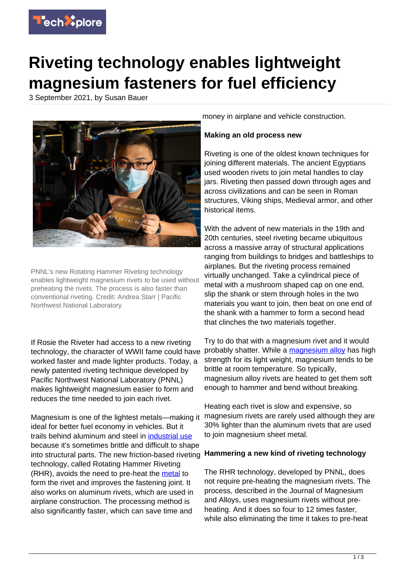

# **Riveting technology enables lightweight magnesium fasteners for fuel efficiency**

3 September 2021, by Susan Bauer



PNNL's new Rotating Hammer Riveting technology enables lightweight magnesium rivets to be used without preheating the rivets. The process is also faster than conventional riveting. Credit: Andrea Starr | Pacific Northwest National Laboratory

If Rosie the Riveter had access to a new riveting technology, the character of WWII fame could have worked faster and made lighter products. Today, a newly patented riveting technique developed by Pacific Northwest National Laboratory (PNNL) makes lightweight magnesium easier to form and reduces the time needed to join each rivet.

Magnesium is one of the lightest metals—making it ideal for better fuel economy in vehicles. But it trails behind aluminum and steel in [industrial use](https://techxplore.com/tags/industrial+use/) because it's sometimes brittle and difficult to shape into structural parts. The new friction-based riveting **Hammering a new kind of riveting technology** technology, called Rotating Hammer Riveting (RHR), avoids the need to pre-heat the [metal](https://techxplore.com/tags/metal/) to form the rivet and improves the fastening joint. It also works on aluminum rivets, which are used in airplane construction. The processing method is also significantly faster, which can save time and

money in airplane and vehicle construction.

# **Making an old process new**

Riveting is one of the oldest known techniques for joining different materials. The ancient Egyptians used wooden rivets to join metal handles to clay jars. Riveting then passed down through ages and across civilizations and can be seen in Roman structures, Viking ships, Medieval armor, and other historical items.

With the advent of new materials in the 19th and 20th centuries, steel riveting became ubiquitous across a massive array of structural applications ranging from buildings to bridges and battleships to airplanes. But the riveting process remained virtually unchanged. Take a cylindrical piece of metal with a mushroom shaped cap on one end, slip the shank or stem through holes in the two materials you want to join, then beat on one end of the shank with a hammer to form a second head that clinches the two materials together.

Try to do that with a magnesium rivet and it would probably shatter. While a [magnesium alloy](https://techxplore.com/tags/magnesium+alloy/) has high strength for its light weight, magnesium tends to be brittle at room temperature. So typically, magnesium alloy rivets are heated to get them soft enough to hammer and bend without breaking.

Heating each rivet is slow and expensive, so magnesium rivets are rarely used although they are 30% lighter than the aluminum rivets that are used to join magnesium sheet metal.

The RHR technology, developed by PNNL, does not require pre-heating the magnesium rivets. The process, described in the Journal of Magnesium and Alloys, uses magnesium rivets without preheating. And it does so four to 12 times faster, while also eliminating the time it takes to pre-heat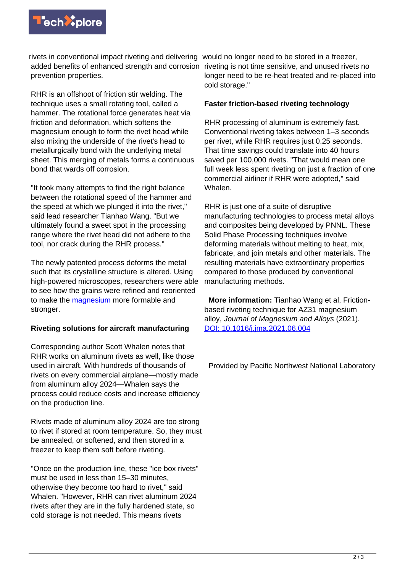

rivets in conventional impact riveting and delivering would no longer need to be stored in a freezer, added benefits of enhanced strength and corrosion riveting is not time sensitive, and unused rivets no prevention properties.

RHR is an offshoot of friction stir welding. The technique uses a small rotating tool, called a hammer. The rotational force generates heat via friction and deformation, which softens the magnesium enough to form the rivet head while also mixing the underside of the rivet's head to metallurgically bond with the underlying metal sheet. This merging of metals forms a continuous bond that wards off corrosion.

"It took many attempts to find the right balance between the rotational speed of the hammer and the speed at which we plunged it into the rivet," said lead researcher Tianhao Wang. "But we ultimately found a sweet spot in the processing range where the rivet head did not adhere to the tool, nor crack during the RHR process."

The newly patented process deforms the metal such that its crystalline structure is altered. Using high-powered microscopes, researchers were able to see how the grains were refined and reoriented to make the [magnesium](https://techxplore.com/tags/magnesium/) more formable and stronger.

## **Riveting solutions for aircraft manufacturing**

Corresponding author Scott Whalen notes that RHR works on aluminum rivets as well, like those used in aircraft. With hundreds of thousands of rivets on every commercial airplane—mostly made from aluminum alloy 2024—Whalen says the process could reduce costs and increase efficiency on the production line.

Rivets made of aluminum alloy 2024 are too strong to rivet if stored at room temperature. So, they must be annealed, or softened, and then stored in a freezer to keep them soft before riveting.

"Once on the production line, these "ice box rivets" must be used in less than 15–30 minutes, otherwise they become too hard to rivet," said Whalen. "However, RHR can rivet aluminum 2024 rivets after they are in the fully hardened state, so cold storage is not needed. This means rivets

longer need to be re-heat treated and re-placed into cold storage."

## **Faster friction-based riveting technology**

RHR processing of aluminum is extremely fast. Conventional riveting takes between 1–3 seconds per rivet, while RHR requires just 0.25 seconds. That time savings could translate into 40 hours saved per 100,000 rivets. "That would mean one full week less spent riveting on just a fraction of one commercial airliner if RHR were adopted," said Whalen.

RHR is just one of a suite of disruptive manufacturing technologies to process metal alloys and composites being developed by PNNL. These Solid Phase Processing techniques involve deforming materials without melting to heat, mix, fabricate, and join metals and other materials. The resulting materials have extraordinary properties compared to those produced by conventional manufacturing methods.

 **More information:** Tianhao Wang et al, Frictionbased riveting technique for AZ31 magnesium alloy, Journal of Magnesium and Alloys (2021). [DOI: 10.1016/j.jma.2021.06.004](http://dx.doi.org/10.1016/j.jma.2021.06.004)

Provided by Pacific Northwest National Laboratory